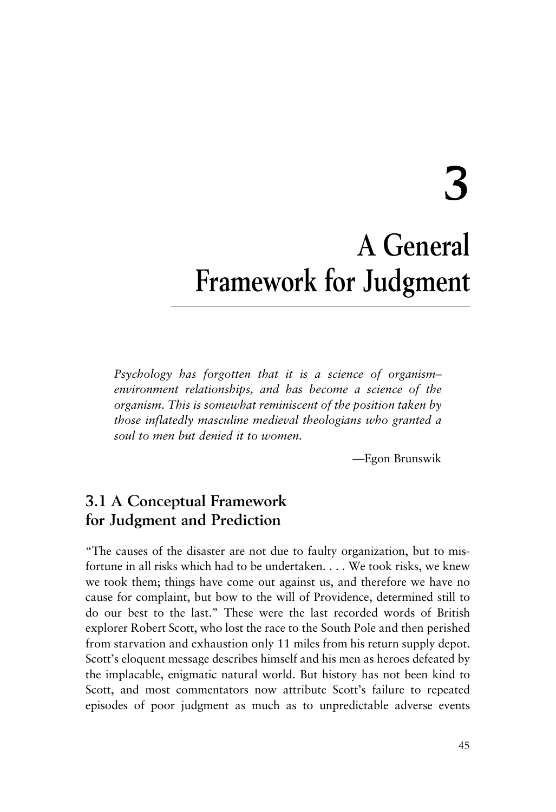# **3**

# **A General Framework for Judgment**

*Psychology has forgotten that it is a science of organism– environment relationships, and has become a science of the organism. This is somewhat reminiscent of the position taken by those inflatedly masculine medieval theologians who granted a soul to men but denied it to women.*

—Egon Brunswik

### **3.1 A Conceptual Framework for Judgment and Prediction**

"The causes of the disaster are not due to faulty organization, but to misfortune in all risks which had to be undertaken. ... We took risks, we knew we took them; things have come out against us, and therefore we have no cause for complaint, but bow to the will of Providence, determined still to do our best to the last." These were the last recorded words of British explorer Robert Scott, who lost the race to the South Pole and then perished from starvation and exhaustion only 11 miles from his return supply depot. Scott's eloquent message describes himself and his men as heroes defeated by the implacable, enigmatic natural world. But history has not been kind to Scott, and most commentators now attribute Scott's failure to repeated episodes of poor judgment as much as to unpredictable adverse events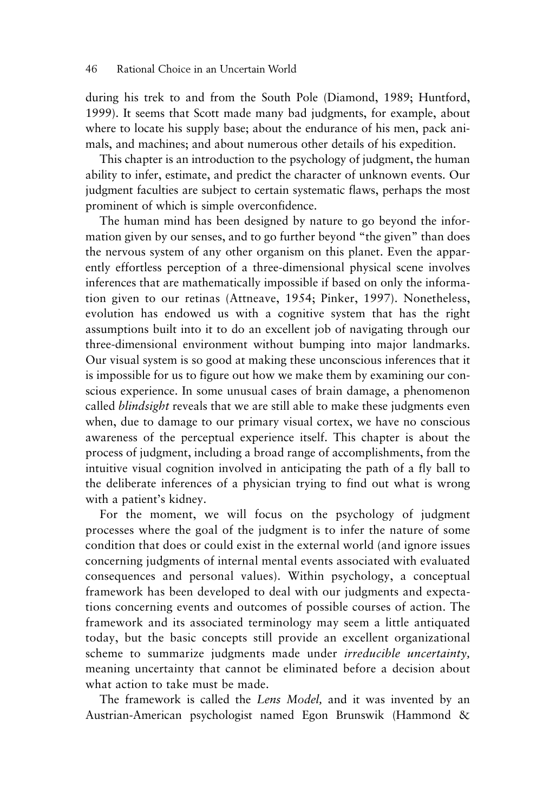during his trek to and from the South Pole (Diamond, 1989; Huntford, 1999). It seems that Scott made many bad judgments, for example, about where to locate his supply base; about the endurance of his men, pack animals, and machines; and about numerous other details of his expedition.

This chapter is an introduction to the psychology of judgment, the human ability to infer, estimate, and predict the character of unknown events. Our judgment faculties are subject to certain systematic flaws, perhaps the most prominent of which is simple overconfidence.

The human mind has been designed by nature to go beyond the information given by our senses, and to go further beyond "the given" than does the nervous system of any other organism on this planet. Even the apparently effortless perception of a three-dimensional physical scene involves inferences that are mathematically impossible if based on only the information given to our retinas (Attneave, 1954; Pinker, 1997). Nonetheless, evolution has endowed us with a cognitive system that has the right assumptions built into it to do an excellent job of navigating through our three-dimensional environment without bumping into major landmarks. Our visual system is so good at making these unconscious inferences that it is impossible for us to figure out how we make them by examining our conscious experience. In some unusual cases of brain damage, a phenomenon called *blindsight* reveals that we are still able to make these judgments even when, due to damage to our primary visual cortex, we have no conscious awareness of the perceptual experience itself. This chapter is about the process of judgment, including a broad range of accomplishments, from the intuitive visual cognition involved in anticipating the path of a fly ball to the deliberate inferences of a physician trying to find out what is wrong with a patient's kidney.

For the moment, we will focus on the psychology of judgment processes where the goal of the judgment is to infer the nature of some condition that does or could exist in the external world (and ignore issues concerning judgments of internal mental events associated with evaluated consequences and personal values). Within psychology, a conceptual framework has been developed to deal with our judgments and expectations concerning events and outcomes of possible courses of action. The framework and its associated terminology may seem a little antiquated today, but the basic concepts still provide an excellent organizational scheme to summarize judgments made under *irreducible uncertainty,* meaning uncertainty that cannot be eliminated before a decision about what action to take must be made.

The framework is called the *Lens Model,* and it was invented by an Austrian-American psychologist named Egon Brunswik (Hammond &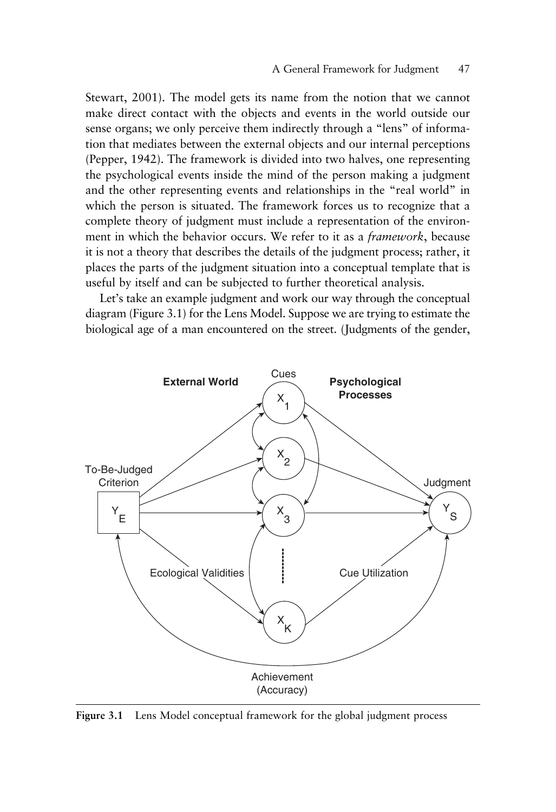Stewart, 2001). The model gets its name from the notion that we cannot make direct contact with the objects and events in the world outside our sense organs; we only perceive them indirectly through a "lens" of information that mediates between the external objects and our internal perceptions (Pepper, 1942). The framework is divided into two halves, one representing the psychological events inside the mind of the person making a judgment and the other representing events and relationships in the "real world" in which the person is situated. The framework forces us to recognize that a complete theory of judgment must include a representation of the environment in which the behavior occurs. We refer to it as a *framework*, because it is not a theory that describes the details of the judgment process; rather, it places the parts of the judgment situation into a conceptual template that is useful by itself and can be subjected to further theoretical analysis.

Let's take an example judgment and work our way through the conceptual diagram (Figure 3.1) for the Lens Model. Suppose we are trying to estimate the biological age of a man encountered on the street. (Judgments of the gender,



**Figure 3.1** Lens Model conceptual framework for the global judgment process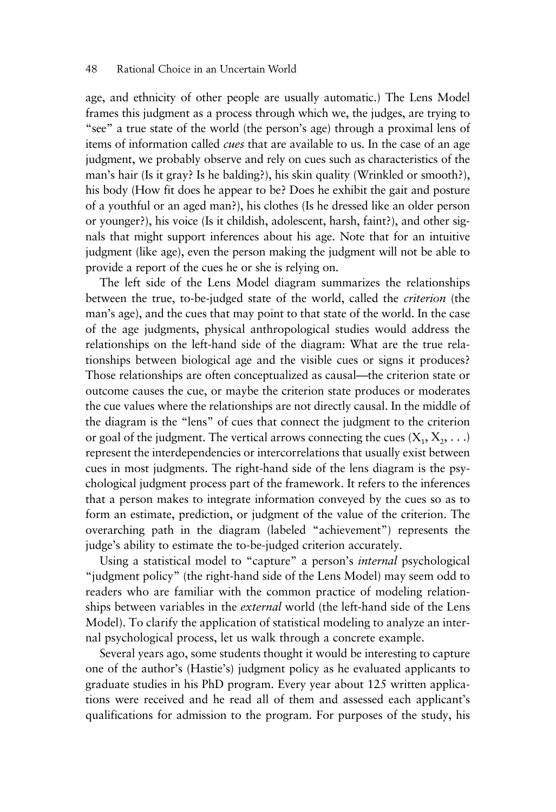age, and ethnicity of other people are usually automatic.) The Lens Model frames this judgment as a process through which we, the judges, are trying to "see" a true state of the world (the person's age) through a proximal lens of items of information called *cues* that are available to us. In the case of an age judgment, we probably observe and rely on cues such as characteristics of the man's hair (Is it gray? Is he balding?), his skin quality (Wrinkled or smooth?), his body (How fit does he appear to be? Does he exhibit the gait and posture of a youthful or an aged man?), his clothes (Is he dressed like an older person or younger?), his voice (Is it childish, adolescent, harsh, faint?), and other signals that might support inferences about his age. Note that for an intuitive judgment (like age), even the person making the judgment will not be able to provide a report of the cues he or she is relying on.

The left side of the Lens Model diagram summarizes the relationships between the true, to-be-judged state of the world, called the *criterion* (the man's age), and the cues that may point to that state of the world. In the case of the age judgments, physical anthropological studies would address the relationships on the left-hand side of the diagram: What are the true relationships between biological age and the visible cues or signs it produces? Those relationships are often conceptualized as causal—the criterion state or outcome causes the cue, or maybe the criterion state produces or moderates the cue values where the relationships are not directly causal. In the middle of the diagram is the "lens" of cues that connect the judgment to the criterion or goal of the judgment. The vertical arrows connecting the cues  $(X_1, X_2, \ldots)$ represent the interdependencies or intercorrelations that usually exist between cues in most judgments. The right-hand side of the lens diagram is the psychological judgment process part of the framework. It refers to the inferences that a person makes to integrate information conveyed by the cues so as to form an estimate, prediction, or judgment of the value of the criterion. The overarching path in the diagram (labeled "achievement") represents the judge's ability to estimate the to-be-judged criterion accurately.

Using a statistical model to "capture" a person's *internal* psychological "judgment policy" (the right-hand side of the Lens Model) may seem odd to readers who are familiar with the common practice of modeling relationships between variables in the *external* world (the left-hand side of the Lens Model). To clarify the application of statistical modeling to analyze an internal psychological process, let us walk through a concrete example.

Several years ago, some students thought it would be interesting to capture one of the author's (Hastie's) judgment policy as he evaluated applicants to graduate studies in his PhD program. Every year about 125 written applications were received and he read all of them and assessed each applicant's qualifications for admission to the program. For purposes of the study, his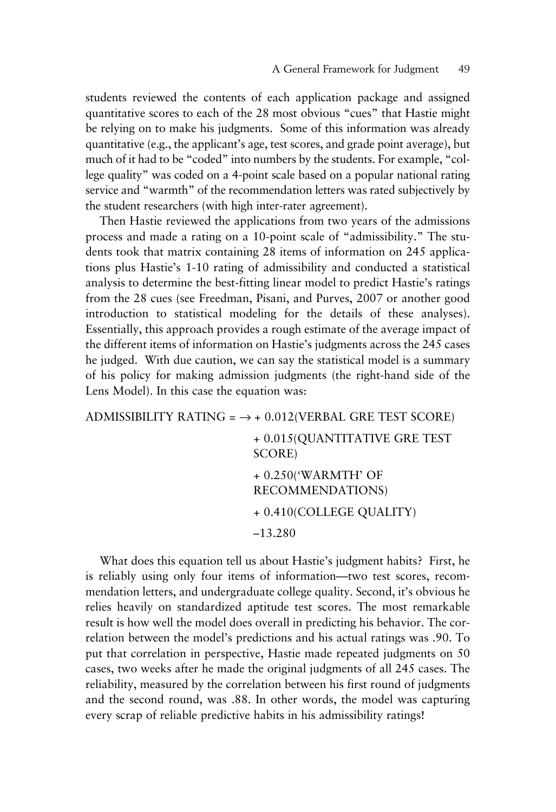students reviewed the contents of each application package and assigned quantitative scores to each of the 28 most obvious "cues" that Hastie might be relying on to make his judgments. Some of this information was already quantitative (e.g., the applicant's age, test scores, and grade point average), but much of it had to be "coded" into numbers by the students. For example, "college quality" was coded on a 4-point scale based on a popular national rating service and "warmth" of the recommendation letters was rated subjectively by the student researchers (with high inter-rater agreement).

Then Hastie reviewed the applications from two years of the admissions process and made a rating on a 10-point scale of "admissibility." The students took that matrix containing 28 items of information on 245 applications plus Hastie's 1-10 rating of admissibility and conducted a statistical analysis to determine the best-fitting linear model to predict Hastie's ratings from the 28 cues (see Freedman, Pisani, and Purves, 2007 or another good introduction to statistical modeling for the details of these analyses). Essentially, this approach provides a rough estimate of the average impact of the different items of information on Hastie's judgments across the 245 cases he judged. With due caution, we can say the statistical model is a summary of his policy for making admission judgments (the right-hand side of the Lens Model). In this case the equation was:

| ADMISSIBILITY RATING = $\rightarrow$ + 0.012(VERBAL GRE TEST SCORE) |
|---------------------------------------------------------------------|
| +0.015(QUANTITATIVE GRE TEST<br>SCORE)                              |
| $+0.250$ ('WARMTH' OF<br><b>RECOMMENDATIONS</b> )                   |
| $+ 0.410$ (COLLEGE QUALITY)                                         |
| $-13.280$                                                           |
|                                                                     |

What does this equation tell us about Hastie's judgment habits? First, he is reliably using only four items of information—two test scores, recommendation letters, and undergraduate college quality. Second, it's obvious he relies heavily on standardized aptitude test scores. The most remarkable result is how well the model does overall in predicting his behavior. The correlation between the model's predictions and his actual ratings was .90. To put that correlation in perspective, Hastie made repeated judgments on 50 cases, two weeks after he made the original judgments of all 245 cases. The reliability, measured by the correlation between his first round of judgments and the second round, was .88. In other words, the model was capturing every scrap of reliable predictive habits in his admissibility ratings!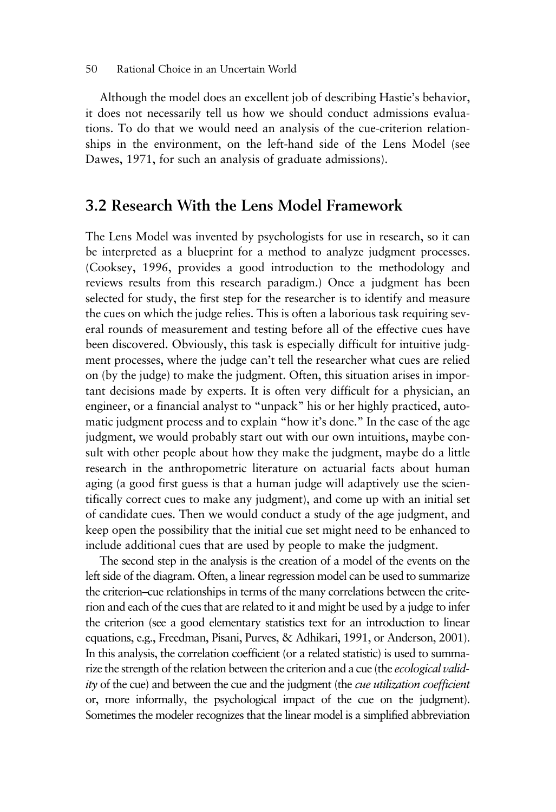#### 50——Rational Choice in an Uncertain World

Although the model does an excellent job of describing Hastie's behavior, it does not necessarily tell us how we should conduct admissions evaluations. To do that we would need an analysis of the cue-criterion relationships in the environment, on the left-hand side of the Lens Model (see Dawes, 1971, for such an analysis of graduate admissions).

#### **3.2 Research With the Lens Model Framework**

The Lens Model was invented by psychologists for use in research, so it can be interpreted as a blueprint for a method to analyze judgment processes. (Cooksey, 1996, provides a good introduction to the methodology and reviews results from this research paradigm.) Once a judgment has been selected for study, the first step for the researcher is to identify and measure the cues on which the judge relies. This is often a laborious task requiring several rounds of measurement and testing before all of the effective cues have been discovered. Obviously, this task is especially difficult for intuitive judgment processes, where the judge can't tell the researcher what cues are relied on (by the judge) to make the judgment. Often, this situation arises in important decisions made by experts. It is often very difficult for a physician, an engineer, or a financial analyst to "unpack" his or her highly practiced, automatic judgment process and to explain "how it's done." In the case of the age judgment, we would probably start out with our own intuitions, maybe consult with other people about how they make the judgment, maybe do a little research in the anthropometric literature on actuarial facts about human aging (a good first guess is that a human judge will adaptively use the scientifically correct cues to make any judgment), and come up with an initial set of candidate cues. Then we would conduct a study of the age judgment, and keep open the possibility that the initial cue set might need to be enhanced to include additional cues that are used by people to make the judgment.

The second step in the analysis is the creation of a model of the events on the left side of the diagram. Often, a linear regression model can be used to summarize the criterion–cue relationships in terms of the many correlations between the criterion and each of the cues that are related to it and might be used by a judge to infer the criterion (see a good elementary statistics text for an introduction to linear equations, e.g., Freedman, Pisani, Purves, & Adhikari, 1991, or Anderson, 2001). In this analysis, the correlation coefficient (or a related statistic) is used to summarize the strength of the relation between the criterion and a cue (the *ecological validity* of the cue) and between the cue and the judgment (the *cue utilization coefficient* or, more informally, the psychological impact of the cue on the judgment). Sometimes the modeler recognizes that the linear model is a simplified abbreviation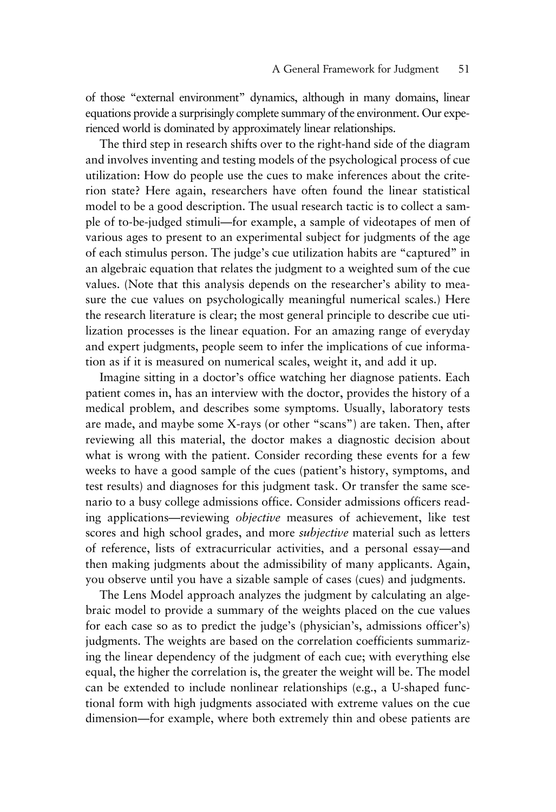of those "external environment" dynamics, although in many domains, linear equations provide a surprisingly complete summary of the environment. Our experienced world is dominated by approximately linear relationships.

The third step in research shifts over to the right-hand side of the diagram and involves inventing and testing models of the psychological process of cue utilization: How do people use the cues to make inferences about the criterion state? Here again, researchers have often found the linear statistical model to be a good description. The usual research tactic is to collect a sample of to-be-judged stimuli—for example, a sample of videotapes of men of various ages to present to an experimental subject for judgments of the age of each stimulus person. The judge's cue utilization habits are "captured" in an algebraic equation that relates the judgment to a weighted sum of the cue values. (Note that this analysis depends on the researcher's ability to measure the cue values on psychologically meaningful numerical scales.) Here the research literature is clear; the most general principle to describe cue utilization processes is the linear equation. For an amazing range of everyday and expert judgments, people seem to infer the implications of cue information as if it is measured on numerical scales, weight it, and add it up.

Imagine sitting in a doctor's office watching her diagnose patients. Each patient comes in, has an interview with the doctor, provides the history of a medical problem, and describes some symptoms. Usually, laboratory tests are made, and maybe some X-rays (or other "scans") are taken. Then, after reviewing all this material, the doctor makes a diagnostic decision about what is wrong with the patient. Consider recording these events for a few weeks to have a good sample of the cues (patient's history, symptoms, and test results) and diagnoses for this judgment task. Or transfer the same scenario to a busy college admissions office. Consider admissions officers reading applications—reviewing *objective* measures of achievement, like test scores and high school grades, and more *subjective* material such as letters of reference, lists of extracurricular activities, and a personal essay—and then making judgments about the admissibility of many applicants. Again, you observe until you have a sizable sample of cases (cues) and judgments.

The Lens Model approach analyzes the judgment by calculating an algebraic model to provide a summary of the weights placed on the cue values for each case so as to predict the judge's (physician's, admissions officer's) judgments. The weights are based on the correlation coefficients summarizing the linear dependency of the judgment of each cue; with everything else equal, the higher the correlation is, the greater the weight will be. The model can be extended to include nonlinear relationships (e.g., a U-shaped functional form with high judgments associated with extreme values on the cue dimension—for example, where both extremely thin and obese patients are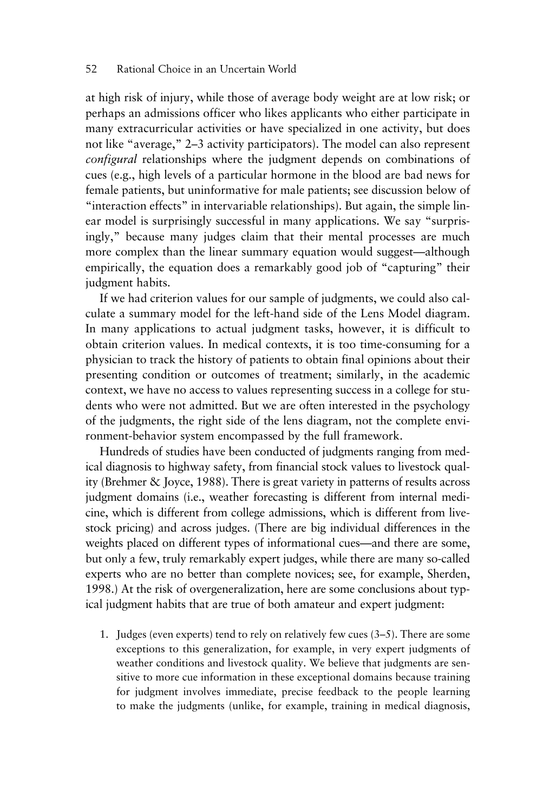at high risk of injury, while those of average body weight are at low risk; or perhaps an admissions officer who likes applicants who either participate in many extracurricular activities or have specialized in one activity, but does not like "average," 2–3 activity participators). The model can also represent *configural* relationships where the judgment depends on combinations of cues (e.g., high levels of a particular hormone in the blood are bad news for female patients, but uninformative for male patients; see discussion below of "interaction effects" in intervariable relationships). But again, the simple linear model is surprisingly successful in many applications. We say "surprisingly," because many judges claim that their mental processes are much more complex than the linear summary equation would suggest—although empirically, the equation does a remarkably good job of "capturing" their judgment habits.

If we had criterion values for our sample of judgments, we could also calculate a summary model for the left-hand side of the Lens Model diagram. In many applications to actual judgment tasks, however, it is difficult to obtain criterion values. In medical contexts, it is too time-consuming for a physician to track the history of patients to obtain final opinions about their presenting condition or outcomes of treatment; similarly, in the academic context, we have no access to values representing success in a college for students who were not admitted. But we are often interested in the psychology of the judgments, the right side of the lens diagram, not the complete environment-behavior system encompassed by the full framework.

Hundreds of studies have been conducted of judgments ranging from medical diagnosis to highway safety, from financial stock values to livestock quality (Brehmer & Joyce, 1988). There is great variety in patterns of results across judgment domains (i.e., weather forecasting is different from internal medicine, which is different from college admissions, which is different from livestock pricing) and across judges. (There are big individual differences in the weights placed on different types of informational cues—and there are some, but only a few, truly remarkably expert judges, while there are many so-called experts who are no better than complete novices; see, for example, Sherden, 1998.) At the risk of overgeneralization, here are some conclusions about typical judgment habits that are true of both amateur and expert judgment:

1. Judges (even experts) tend to rely on relatively few cues (3–5). There are some exceptions to this generalization, for example, in very expert judgments of weather conditions and livestock quality. We believe that judgments are sensitive to more cue information in these exceptional domains because training for judgment involves immediate, precise feedback to the people learning to make the judgments (unlike, for example, training in medical diagnosis,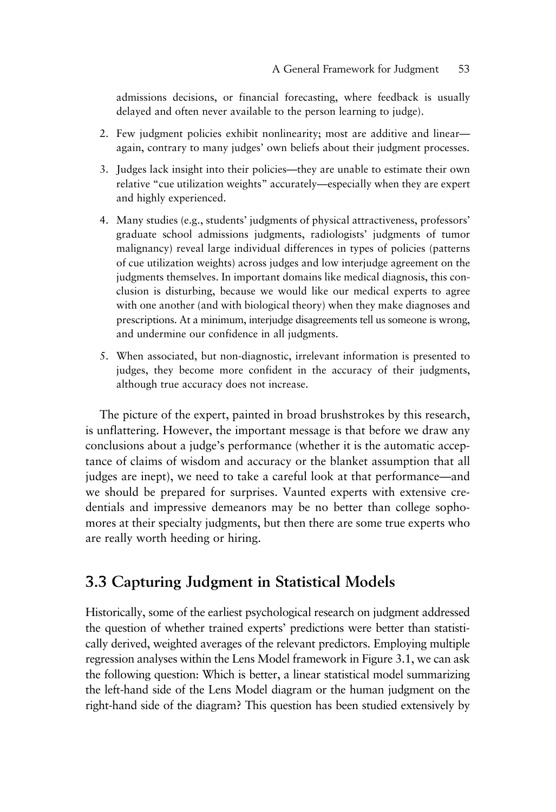admissions decisions, or financial forecasting, where feedback is usually delayed and often never available to the person learning to judge).

- 2. Few judgment policies exhibit nonlinearity; most are additive and linear again, contrary to many judges' own beliefs about their judgment processes.
- 3. Judges lack insight into their policies—they are unable to estimate their own relative "cue utilization weights" accurately—especially when they are expert and highly experienced.
- 4. Many studies (e.g., students' judgments of physical attractiveness, professors' graduate school admissions judgments, radiologists' judgments of tumor malignancy) reveal large individual differences in types of policies (patterns of cue utilization weights) across judges and low interjudge agreement on the judgments themselves. In important domains like medical diagnosis, this conclusion is disturbing, because we would like our medical experts to agree with one another (and with biological theory) when they make diagnoses and prescriptions. At a minimum, interjudge disagreements tell us someone is wrong, and undermine our confidence in all judgments.
- 5. When associated, but non-diagnostic, irrelevant information is presented to judges, they become more confident in the accuracy of their judgments, although true accuracy does not increase.

The picture of the expert, painted in broad brushstrokes by this research, is unflattering. However, the important message is that before we draw any conclusions about a judge's performance (whether it is the automatic acceptance of claims of wisdom and accuracy or the blanket assumption that all judges are inept), we need to take a careful look at that performance—and we should be prepared for surprises. Vaunted experts with extensive credentials and impressive demeanors may be no better than college sophomores at their specialty judgments, but then there are some true experts who are really worth heeding or hiring.

#### **3.3 Capturing Judgment in Statistical Models**

Historically, some of the earliest psychological research on judgment addressed the question of whether trained experts' predictions were better than statistically derived, weighted averages of the relevant predictors. Employing multiple regression analyses within the Lens Model framework in Figure 3.1, we can ask the following question: Which is better, a linear statistical model summarizing the left-hand side of the Lens Model diagram or the human judgment on the right-hand side of the diagram? This question has been studied extensively by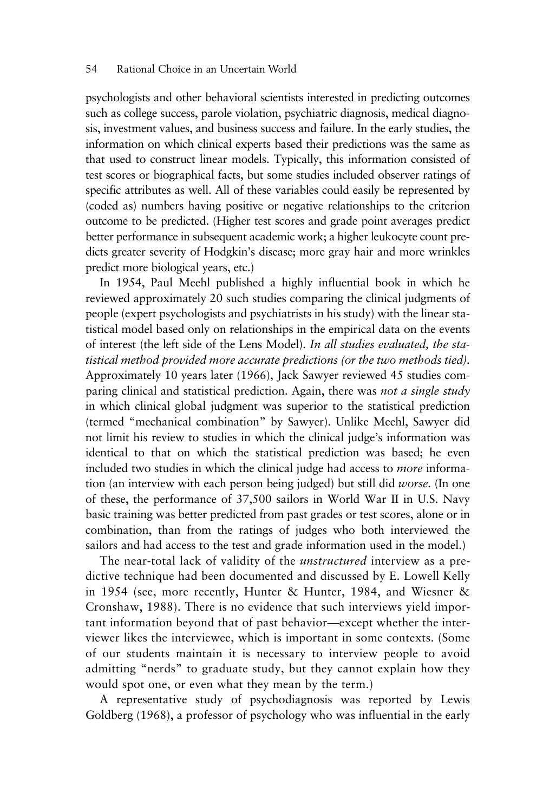psychologists and other behavioral scientists interested in predicting outcomes such as college success, parole violation, psychiatric diagnosis, medical diagnosis, investment values, and business success and failure. In the early studies, the information on which clinical experts based their predictions was the same as that used to construct linear models. Typically, this information consisted of test scores or biographical facts, but some studies included observer ratings of specific attributes as well. All of these variables could easily be represented by (coded as) numbers having positive or negative relationships to the criterion outcome to be predicted. (Higher test scores and grade point averages predict better performance in subsequent academic work; a higher leukocyte count predicts greater severity of Hodgkin's disease; more gray hair and more wrinkles predict more biological years, etc.)

In 1954, Paul Meehl published a highly influential book in which he reviewed approximately 20 such studies comparing the clinical judgments of people (expert psychologists and psychiatrists in his study) with the linear statistical model based only on relationships in the empirical data on the events of interest (the left side of the Lens Model). *In all studies evaluated, the statistical method provided more accurate predictions (or the two methods tied).* Approximately 10 years later (1966), Jack Sawyer reviewed 45 studies comparing clinical and statistical prediction. Again, there was *not a single study* in which clinical global judgment was superior to the statistical prediction (termed "mechanical combination" by Sawyer). Unlike Meehl, Sawyer did not limit his review to studies in which the clinical judge's information was identical to that on which the statistical prediction was based; he even included two studies in which the clinical judge had access to *more* information (an interview with each person being judged) but still did *worse.* (In one of these, the performance of 37,500 sailors in World War II in U.S. Navy basic training was better predicted from past grades or test scores, alone or in combination, than from the ratings of judges who both interviewed the sailors and had access to the test and grade information used in the model.)

The near-total lack of validity of the *unstructured* interview as a predictive technique had been documented and discussed by E. Lowell Kelly in 1954 (see, more recently, Hunter & Hunter, 1984, and Wiesner & Cronshaw, 1988). There is no evidence that such interviews yield important information beyond that of past behavior—except whether the interviewer likes the interviewee, which is important in some contexts. (Some of our students maintain it is necessary to interview people to avoid admitting "nerds" to graduate study, but they cannot explain how they would spot one, or even what they mean by the term.)

A representative study of psychodiagnosis was reported by Lewis Goldberg (1968), a professor of psychology who was influential in the early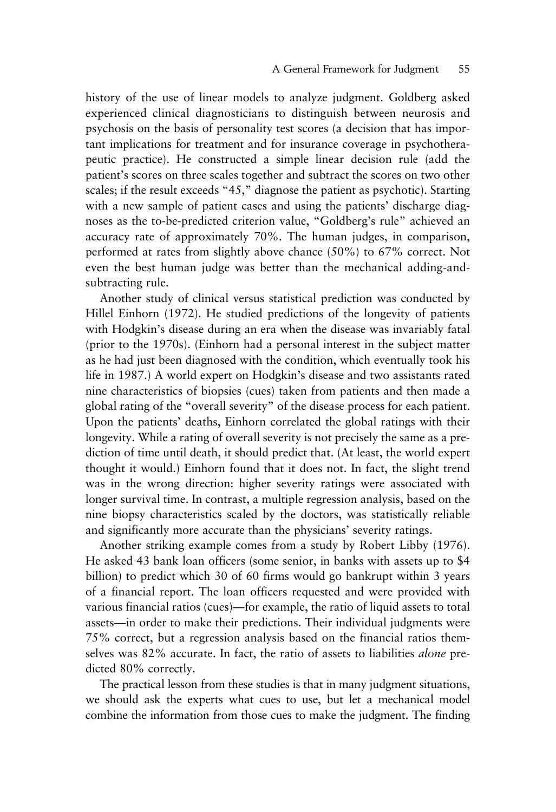history of the use of linear models to analyze judgment. Goldberg asked experienced clinical diagnosticians to distinguish between neurosis and psychosis on the basis of personality test scores (a decision that has important implications for treatment and for insurance coverage in psychotherapeutic practice). He constructed a simple linear decision rule (add the patient's scores on three scales together and subtract the scores on two other scales; if the result exceeds "45," diagnose the patient as psychotic). Starting with a new sample of patient cases and using the patients' discharge diagnoses as the to-be-predicted criterion value, "Goldberg's rule" achieved an accuracy rate of approximately 70%. The human judges, in comparison, performed at rates from slightly above chance (50%) to 67% correct. Not even the best human judge was better than the mechanical adding-andsubtracting rule.

Another study of clinical versus statistical prediction was conducted by Hillel Einhorn (1972). He studied predictions of the longevity of patients with Hodgkin's disease during an era when the disease was invariably fatal (prior to the 1970s). (Einhorn had a personal interest in the subject matter as he had just been diagnosed with the condition, which eventually took his life in 1987.) A world expert on Hodgkin's disease and two assistants rated nine characteristics of biopsies (cues) taken from patients and then made a global rating of the "overall severity" of the disease process for each patient. Upon the patients' deaths, Einhorn correlated the global ratings with their longevity. While a rating of overall severity is not precisely the same as a prediction of time until death, it should predict that. (At least, the world expert thought it would.) Einhorn found that it does not. In fact, the slight trend was in the wrong direction: higher severity ratings were associated with longer survival time. In contrast, a multiple regression analysis, based on the nine biopsy characteristics scaled by the doctors, was statistically reliable and significantly more accurate than the physicians' severity ratings.

Another striking example comes from a study by Robert Libby (1976). He asked 43 bank loan officers (some senior, in banks with assets up to \$4 billion) to predict which 30 of 60 firms would go bankrupt within 3 years of a financial report. The loan officers requested and were provided with various financial ratios (cues)—for example, the ratio of liquid assets to total assets—in order to make their predictions. Their individual judgments were 75% correct, but a regression analysis based on the financial ratios themselves was 82% accurate. In fact, the ratio of assets to liabilities *alone* predicted 80% correctly.

The practical lesson from these studies is that in many judgment situations, we should ask the experts what cues to use, but let a mechanical model combine the information from those cues to make the judgment. The finding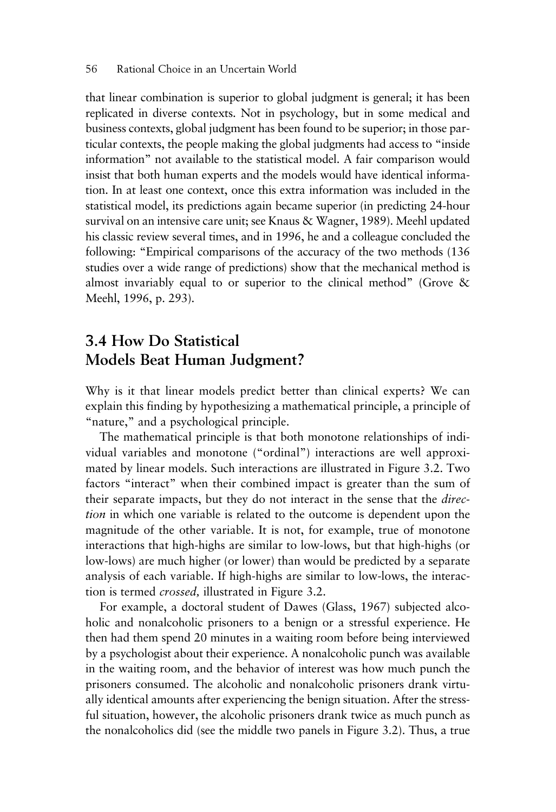that linear combination is superior to global judgment is general; it has been replicated in diverse contexts. Not in psychology, but in some medical and business contexts, global judgment has been found to be superior; in those particular contexts, the people making the global judgments had access to "inside information" not available to the statistical model. A fair comparison would insist that both human experts and the models would have identical information. In at least one context, once this extra information was included in the statistical model, its predictions again became superior (in predicting 24-hour survival on an intensive care unit; see Knaus & Wagner, 1989). Meehl updated his classic review several times, and in 1996, he and a colleague concluded the following: "Empirical comparisons of the accuracy of the two methods (136 studies over a wide range of predictions) show that the mechanical method is almost invariably equal to or superior to the clinical method" (Grove & Meehl, 1996, p. 293).

### **3.4 How Do Statistical Models Beat Human Judgment?**

Why is it that linear models predict better than clinical experts? We can explain this finding by hypothesizing a mathematical principle, a principle of "nature," and a psychological principle.

The mathematical principle is that both monotone relationships of individual variables and monotone ("ordinal") interactions are well approximated by linear models. Such interactions are illustrated in Figure 3.2. Two factors "interact" when their combined impact is greater than the sum of their separate impacts, but they do not interact in the sense that the *direction* in which one variable is related to the outcome is dependent upon the magnitude of the other variable. It is not, for example, true of monotone interactions that high-highs are similar to low-lows, but that high-highs (or low-lows) are much higher (or lower) than would be predicted by a separate analysis of each variable. If high-highs are similar to low-lows, the interaction is termed *crossed,* illustrated in Figure 3.2.

For example, a doctoral student of Dawes (Glass, 1967) subjected alcoholic and nonalcoholic prisoners to a benign or a stressful experience. He then had them spend 20 minutes in a waiting room before being interviewed by a psychologist about their experience. A nonalcoholic punch was available in the waiting room, and the behavior of interest was how much punch the prisoners consumed. The alcoholic and nonalcoholic prisoners drank virtually identical amounts after experiencing the benign situation. After the stressful situation, however, the alcoholic prisoners drank twice as much punch as the nonalcoholics did (see the middle two panels in Figure 3.2). Thus, a true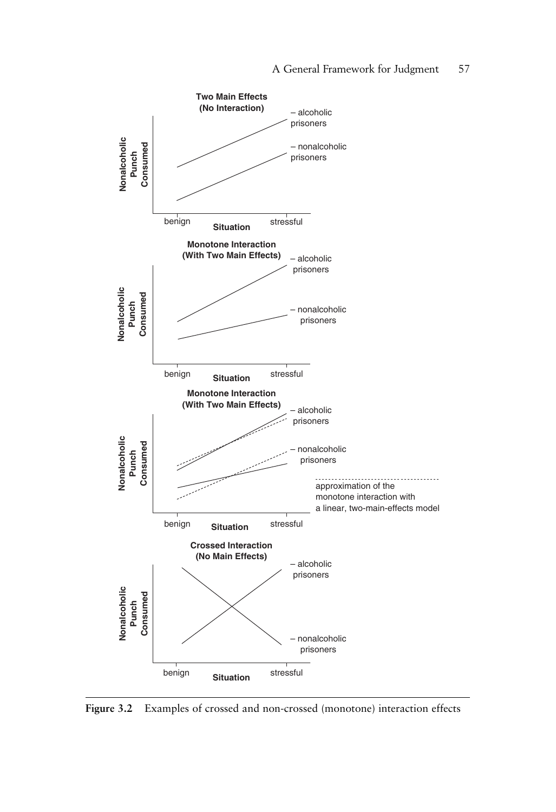

**Figure 3.2** Examples of crossed and non-crossed (monotone) interaction effects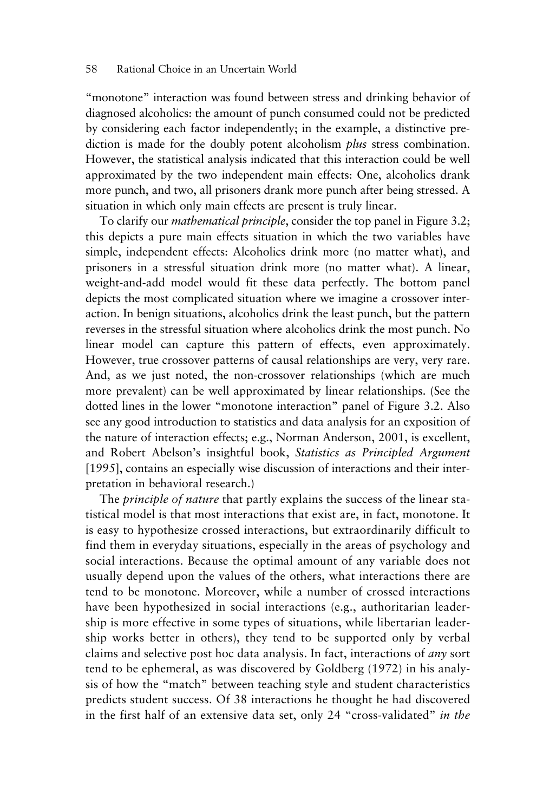"monotone" interaction was found between stress and drinking behavior of diagnosed alcoholics: the amount of punch consumed could not be predicted by considering each factor independently; in the example, a distinctive prediction is made for the doubly potent alcoholism *plus* stress combination. However, the statistical analysis indicated that this interaction could be well approximated by the two independent main effects: One, alcoholics drank more punch, and two, all prisoners drank more punch after being stressed. A situation in which only main effects are present is truly linear.

To clarify our *mathematical principle*, consider the top panel in Figure 3.2; this depicts a pure main effects situation in which the two variables have simple, independent effects: Alcoholics drink more (no matter what), and prisoners in a stressful situation drink more (no matter what). A linear, weight-and-add model would fit these data perfectly. The bottom panel depicts the most complicated situation where we imagine a crossover interaction. In benign situations, alcoholics drink the least punch, but the pattern reverses in the stressful situation where alcoholics drink the most punch. No linear model can capture this pattern of effects, even approximately. However, true crossover patterns of causal relationships are very, very rare. And, as we just noted, the non-crossover relationships (which are much more prevalent) can be well approximated by linear relationships. (See the dotted lines in the lower "monotone interaction" panel of Figure 3.2. Also see any good introduction to statistics and data analysis for an exposition of the nature of interaction effects; e.g., Norman Anderson, 2001, is excellent, and Robert Abelson's insightful book, *Statistics as Principled Argument* [1995], contains an especially wise discussion of interactions and their interpretation in behavioral research.)

The *principle of nature* that partly explains the success of the linear statistical model is that most interactions that exist are, in fact, monotone. It is easy to hypothesize crossed interactions, but extraordinarily difficult to find them in everyday situations, especially in the areas of psychology and social interactions. Because the optimal amount of any variable does not usually depend upon the values of the others, what interactions there are tend to be monotone. Moreover, while a number of crossed interactions have been hypothesized in social interactions (e.g., authoritarian leadership is more effective in some types of situations, while libertarian leadership works better in others), they tend to be supported only by verbal claims and selective post hoc data analysis. In fact, interactions of *any* sort tend to be ephemeral, as was discovered by Goldberg (1972) in his analysis of how the "match" between teaching style and student characteristics predicts student success. Of 38 interactions he thought he had discovered in the first half of an extensive data set, only 24 "cross-validated" *in the*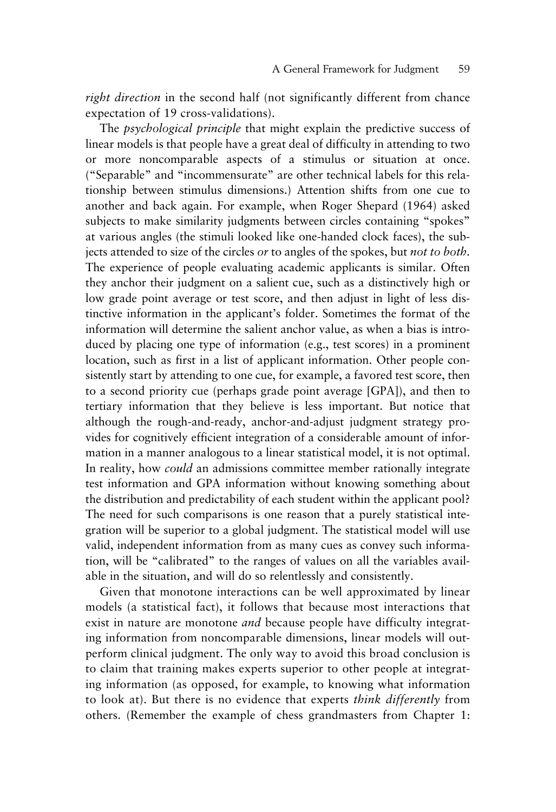*right direction* in the second half (not significantly different from chance expectation of 19 cross-validations).

The *psychological principle* that might explain the predictive success of linear models is that people have a great deal of difficulty in attending to two or more noncomparable aspects of a stimulus or situation at once. ("Separable" and "incommensurate" are other technical labels for this relationship between stimulus dimensions.) Attention shifts from one cue to another and back again. For example, when Roger Shepard (1964) asked subjects to make similarity judgments between circles containing "spokes" at various angles (the stimuli looked like one-handed clock faces), the subjects attended to size of the circles *or* to angles of the spokes, but *not to both.* The experience of people evaluating academic applicants is similar. Often they anchor their judgment on a salient cue, such as a distinctively high or low grade point average or test score, and then adjust in light of less distinctive information in the applicant's folder. Sometimes the format of the information will determine the salient anchor value, as when a bias is introduced by placing one type of information (e.g., test scores) in a prominent location, such as first in a list of applicant information. Other people consistently start by attending to one cue, for example, a favored test score, then to a second priority cue (perhaps grade point average [GPA]), and then to tertiary information that they believe is less important. But notice that although the rough-and-ready, anchor-and-adjust judgment strategy provides for cognitively efficient integration of a considerable amount of information in a manner analogous to a linear statistical model, it is not optimal. In reality, how *could* an admissions committee member rationally integrate test information and GPA information without knowing something about the distribution and predictability of each student within the applicant pool? The need for such comparisons is one reason that a purely statistical integration will be superior to a global judgment. The statistical model will use valid, independent information from as many cues as convey such information, will be "calibrated" to the ranges of values on all the variables available in the situation, and will do so relentlessly and consistently.

Given that monotone interactions can be well approximated by linear models (a statistical fact), it follows that because most interactions that exist in nature are monotone *and* because people have difficulty integrating information from noncomparable dimensions, linear models will outperform clinical judgment. The only way to avoid this broad conclusion is to claim that training makes experts superior to other people at integrating information (as opposed, for example, to knowing what information to look at). But there is no evidence that experts *think differently* from others. (Remember the example of chess grandmasters from Chapter 1: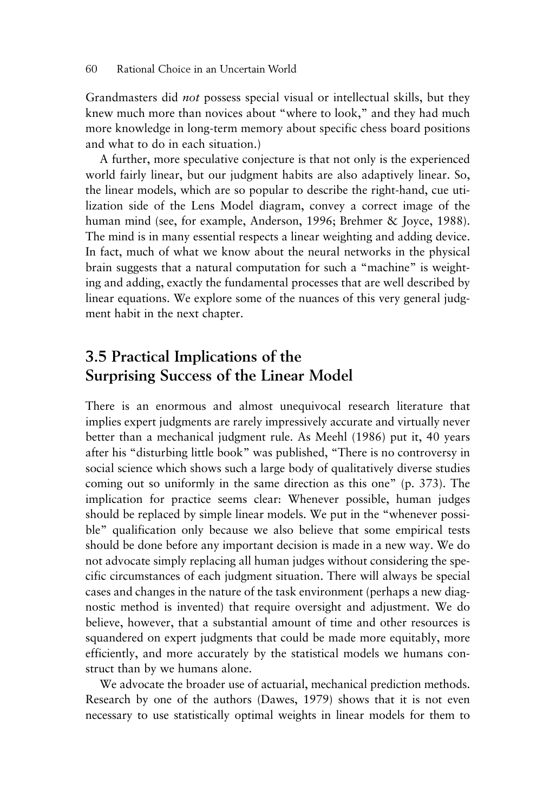Grandmasters did *not* possess special visual or intellectual skills, but they knew much more than novices about "where to look," and they had much more knowledge in long-term memory about specific chess board positions and what to do in each situation.)

A further, more speculative conjecture is that not only is the experienced world fairly linear, but our judgment habits are also adaptively linear. So, the linear models, which are so popular to describe the right-hand, cue utilization side of the Lens Model diagram, convey a correct image of the human mind (see, for example, Anderson, 1996; Brehmer & Joyce, 1988). The mind is in many essential respects a linear weighting and adding device. In fact, much of what we know about the neural networks in the physical brain suggests that a natural computation for such a "machine" is weighting and adding, exactly the fundamental processes that are well described by linear equations. We explore some of the nuances of this very general judgment habit in the next chapter.

## **3.5 Practical Implications of the Surprising Success of the Linear Model**

There is an enormous and almost unequivocal research literature that implies expert judgments are rarely impressively accurate and virtually never better than a mechanical judgment rule. As Meehl (1986) put it, 40 years after his "disturbing little book" was published, "There is no controversy in social science which shows such a large body of qualitatively diverse studies coming out so uniformly in the same direction as this one" (p. 373). The implication for practice seems clear: Whenever possible, human judges should be replaced by simple linear models. We put in the "whenever possible" qualification only because we also believe that some empirical tests should be done before any important decision is made in a new way. We do not advocate simply replacing all human judges without considering the specific circumstances of each judgment situation. There will always be special cases and changes in the nature of the task environment (perhaps a new diagnostic method is invented) that require oversight and adjustment. We do believe, however, that a substantial amount of time and other resources is squandered on expert judgments that could be made more equitably, more efficiently, and more accurately by the statistical models we humans construct than by we humans alone.

We advocate the broader use of actuarial, mechanical prediction methods. Research by one of the authors (Dawes, 1979) shows that it is not even necessary to use statistically optimal weights in linear models for them to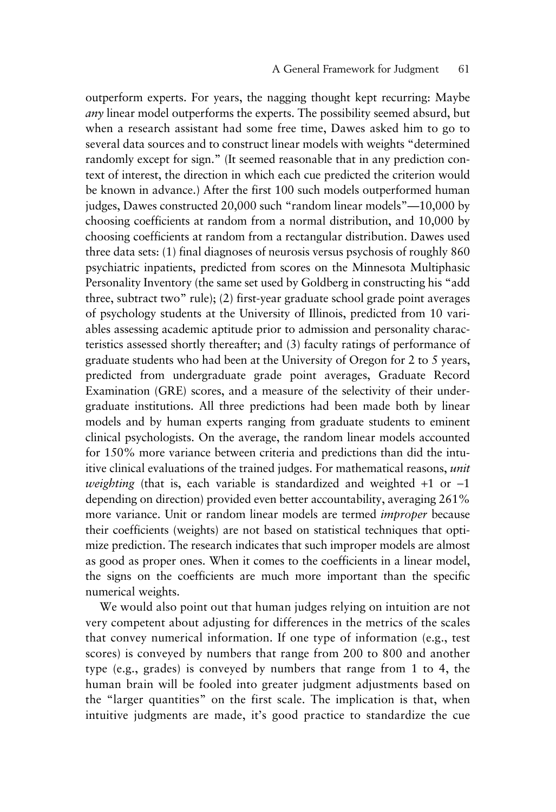outperform experts. For years, the nagging thought kept recurring: Maybe *any* linear model outperforms the experts. The possibility seemed absurd, but when a research assistant had some free time, Dawes asked him to go to several data sources and to construct linear models with weights "determined randomly except for sign." (It seemed reasonable that in any prediction context of interest, the direction in which each cue predicted the criterion would be known in advance.) After the first 100 such models outperformed human judges, Dawes constructed 20,000 such "random linear models"—10,000 by choosing coefficients at random from a normal distribution, and 10,000 by choosing coefficients at random from a rectangular distribution. Dawes used three data sets: (1) final diagnoses of neurosis versus psychosis of roughly 860 psychiatric inpatients, predicted from scores on the Minnesota Multiphasic Personality Inventory (the same set used by Goldberg in constructing his "add three, subtract two" rule); (2) first-year graduate school grade point averages of psychology students at the University of Illinois, predicted from 10 variables assessing academic aptitude prior to admission and personality characteristics assessed shortly thereafter; and (3) faculty ratings of performance of graduate students who had been at the University of Oregon for 2 to 5 years, predicted from undergraduate grade point averages, Graduate Record Examination (GRE) scores, and a measure of the selectivity of their undergraduate institutions. All three predictions had been made both by linear models and by human experts ranging from graduate students to eminent clinical psychologists. On the average, the random linear models accounted for 150% more variance between criteria and predictions than did the intuitive clinical evaluations of the trained judges. For mathematical reasons, *unit weighting* (that is, each variable is standardized and weighted +1 or −1 depending on direction) provided even better accountability, averaging 261% more variance. Unit or random linear models are termed *improper* because their coefficients (weights) are not based on statistical techniques that optimize prediction. The research indicates that such improper models are almost as good as proper ones. When it comes to the coefficients in a linear model, the signs on the coefficients are much more important than the specific numerical weights.

We would also point out that human judges relying on intuition are not very competent about adjusting for differences in the metrics of the scales that convey numerical information. If one type of information (e.g., test scores) is conveyed by numbers that range from 200 to 800 and another type (e.g., grades) is conveyed by numbers that range from 1 to 4, the human brain will be fooled into greater judgment adjustments based on the "larger quantities" on the first scale. The implication is that, when intuitive judgments are made, it's good practice to standardize the cue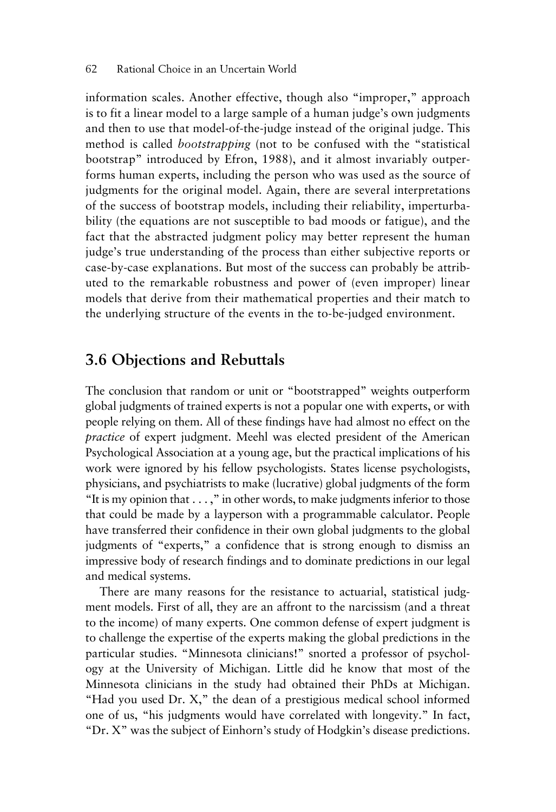information scales. Another effective, though also "improper," approach is to fit a linear model to a large sample of a human judge's own judgments and then to use that model-of-the-judge instead of the original judge. This method is called *bootstrapping* (not to be confused with the "statistical bootstrap" introduced by Efron, 1988), and it almost invariably outperforms human experts, including the person who was used as the source of judgments for the original model. Again, there are several interpretations of the success of bootstrap models, including their reliability, imperturbability (the equations are not susceptible to bad moods or fatigue), and the fact that the abstracted judgment policy may better represent the human judge's true understanding of the process than either subjective reports or case-by-case explanations. But most of the success can probably be attributed to the remarkable robustness and power of (even improper) linear models that derive from their mathematical properties and their match to the underlying structure of the events in the to-be-judged environment.

#### **3.6 Objections and Rebuttals**

The conclusion that random or unit or "bootstrapped" weights outperform global judgments of trained experts is not a popular one with experts, or with people relying on them. All of these findings have had almost no effect on the *practice* of expert judgment. Meehl was elected president of the American Psychological Association at a young age, but the practical implications of his work were ignored by his fellow psychologists. States license psychologists, physicians, and psychiatrists to make (lucrative) global judgments of the form "It is my opinion that  $\dots$ ," in other words, to make judgments inferior to those that could be made by a layperson with a programmable calculator. People have transferred their confidence in their own global judgments to the global judgments of "experts," a confidence that is strong enough to dismiss an impressive body of research findings and to dominate predictions in our legal and medical systems.

There are many reasons for the resistance to actuarial, statistical judgment models. First of all, they are an affront to the narcissism (and a threat to the income) of many experts. One common defense of expert judgment is to challenge the expertise of the experts making the global predictions in the particular studies. "Minnesota clinicians!" snorted a professor of psychology at the University of Michigan. Little did he know that most of the Minnesota clinicians in the study had obtained their PhDs at Michigan. "Had you used Dr. X," the dean of a prestigious medical school informed one of us, "his judgments would have correlated with longevity." In fact, "Dr. X" was the subject of Einhorn's study of Hodgkin's disease predictions.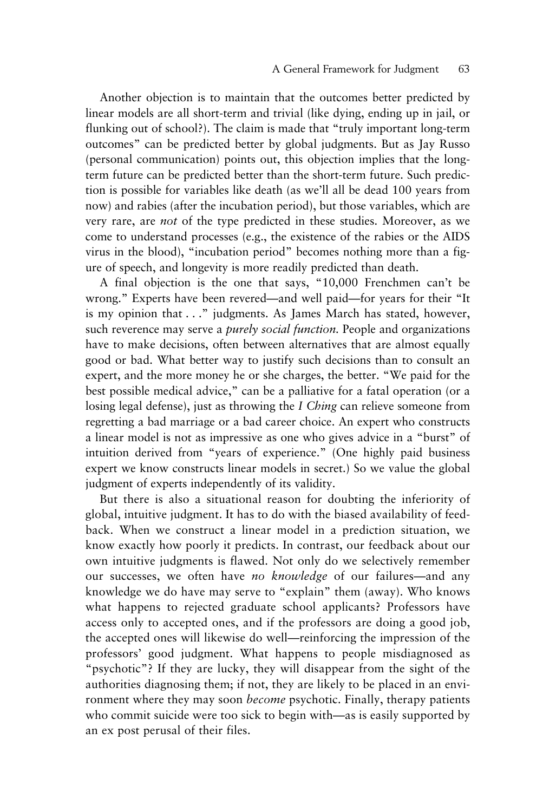Another objection is to maintain that the outcomes better predicted by linear models are all short-term and trivial (like dying, ending up in jail, or flunking out of school?). The claim is made that "truly important long-term outcomes" can be predicted better by global judgments. But as Jay Russo (personal communication) points out, this objection implies that the longterm future can be predicted better than the short-term future. Such prediction is possible for variables like death (as we'll all be dead 100 years from now) and rabies (after the incubation period), but those variables, which are very rare, are *not* of the type predicted in these studies. Moreover, as we come to understand processes (e.g., the existence of the rabies or the AIDS virus in the blood), "incubation period" becomes nothing more than a figure of speech, and longevity is more readily predicted than death.

A final objection is the one that says, "10,000 Frenchmen can't be wrong." Experts have been revered—and well paid—for years for their "It is my opinion that . . ." judgments. As James March has stated, however, such reverence may serve a *purely social function.* People and organizations have to make decisions, often between alternatives that are almost equally good or bad. What better way to justify such decisions than to consult an expert, and the more money he or she charges, the better. "We paid for the best possible medical advice," can be a palliative for a fatal operation (or a losing legal defense), just as throwing the *I Ching* can relieve someone from regretting a bad marriage or a bad career choice. An expert who constructs a linear model is not as impressive as one who gives advice in a "burst" of intuition derived from "years of experience." (One highly paid business expert we know constructs linear models in secret.) So we value the global judgment of experts independently of its validity.

But there is also a situational reason for doubting the inferiority of global, intuitive judgment. It has to do with the biased availability of feedback. When we construct a linear model in a prediction situation, we know exactly how poorly it predicts. In contrast, our feedback about our own intuitive judgments is flawed. Not only do we selectively remember our successes, we often have *no knowledge* of our failures—and any knowledge we do have may serve to "explain" them (away). Who knows what happens to rejected graduate school applicants? Professors have access only to accepted ones, and if the professors are doing a good job, the accepted ones will likewise do well—reinforcing the impression of the professors' good judgment. What happens to people misdiagnosed as "psychotic"? If they are lucky, they will disappear from the sight of the authorities diagnosing them; if not, they are likely to be placed in an environment where they may soon *become* psychotic. Finally, therapy patients who commit suicide were too sick to begin with—as is easily supported by an ex post perusal of their files.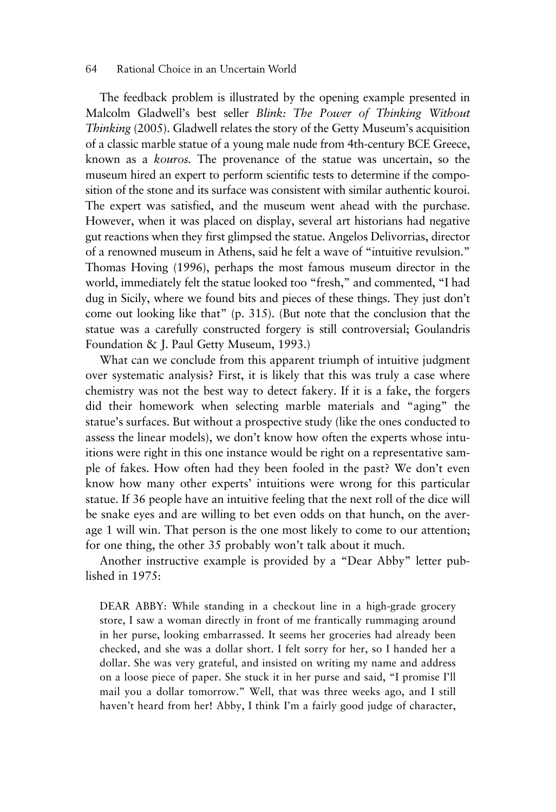#### 64——Rational Choice in an Uncertain World

The feedback problem is illustrated by the opening example presented in Malcolm Gladwell's best seller *Blink: The Power of Thinking Without Thinking* (2005). Gladwell relates the story of the Getty Museum's acquisition of a classic marble statue of a young male nude from 4th-century BCE Greece, known as a *kouros.* The provenance of the statue was uncertain, so the museum hired an expert to perform scientific tests to determine if the composition of the stone and its surface was consistent with similar authentic kouroi. The expert was satisfied, and the museum went ahead with the purchase. However, when it was placed on display, several art historians had negative gut reactions when they first glimpsed the statue. Angelos Delivorrias, director of a renowned museum in Athens, said he felt a wave of "intuitive revulsion." Thomas Hoving (1996), perhaps the most famous museum director in the world, immediately felt the statue looked too "fresh," and commented, "I had dug in Sicily, where we found bits and pieces of these things. They just don't come out looking like that" (p. 315). (But note that the conclusion that the statue was a carefully constructed forgery is still controversial; Goulandris Foundation & J. Paul Getty Museum, 1993.)

What can we conclude from this apparent triumph of intuitive judgment over systematic analysis? First, it is likely that this was truly a case where chemistry was not the best way to detect fakery. If it is a fake, the forgers did their homework when selecting marble materials and "aging" the statue's surfaces. But without a prospective study (like the ones conducted to assess the linear models), we don't know how often the experts whose intuitions were right in this one instance would be right on a representative sample of fakes. How often had they been fooled in the past? We don't even know how many other experts' intuitions were wrong for this particular statue. If 36 people have an intuitive feeling that the next roll of the dice will be snake eyes and are willing to bet even odds on that hunch, on the average 1 will win. That person is the one most likely to come to our attention; for one thing, the other 35 probably won't talk about it much.

Another instructive example is provided by a "Dear Abby" letter published in 1975:

DEAR ABBY: While standing in a checkout line in a high-grade grocery store, I saw a woman directly in front of me frantically rummaging around in her purse, looking embarrassed. It seems her groceries had already been checked, and she was a dollar short. I felt sorry for her, so I handed her a dollar. She was very grateful, and insisted on writing my name and address on a loose piece of paper. She stuck it in her purse and said, "I promise I'll mail you a dollar tomorrow." Well, that was three weeks ago, and I still haven't heard from her! Abby, I think I'm a fairly good judge of character,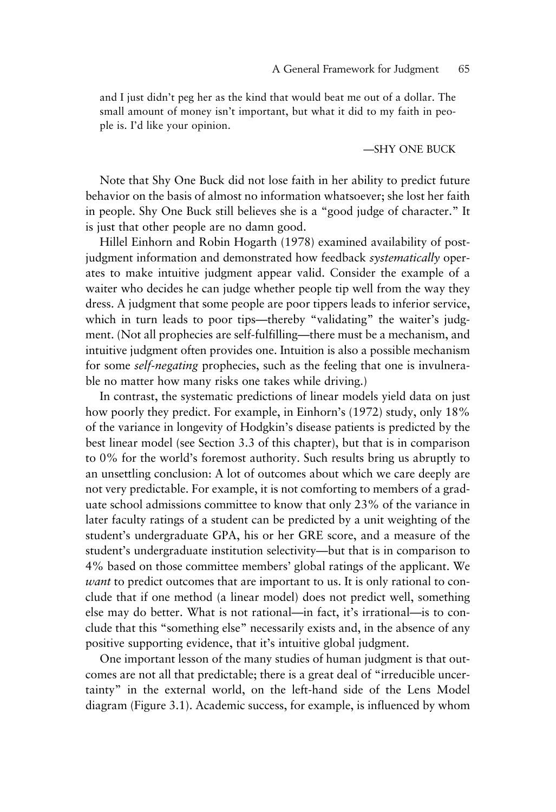and I just didn't peg her as the kind that would beat me out of a dollar. The small amount of money isn't important, but what it did to my faith in people is. I'd like your opinion.

—SHY ONE BUCK

Note that Shy One Buck did not lose faith in her ability to predict future behavior on the basis of almost no information whatsoever; she lost her faith in people. Shy One Buck still believes she is a "good judge of character." It is just that other people are no damn good.

Hillel Einhorn and Robin Hogarth (1978) examined availability of postjudgment information and demonstrated how feedback *systematically* operates to make intuitive judgment appear valid. Consider the example of a waiter who decides he can judge whether people tip well from the way they dress. A judgment that some people are poor tippers leads to inferior service, which in turn leads to poor tips—thereby "validating" the waiter's judgment. (Not all prophecies are self-fulfilling—there must be a mechanism, and intuitive judgment often provides one. Intuition is also a possible mechanism for some *self-negating* prophecies, such as the feeling that one is invulnerable no matter how many risks one takes while driving.)

In contrast, the systematic predictions of linear models yield data on just how poorly they predict. For example, in Einhorn's (1972) study, only 18% of the variance in longevity of Hodgkin's disease patients is predicted by the best linear model (see Section 3.3 of this chapter), but that is in comparison to 0% for the world's foremost authority. Such results bring us abruptly to an unsettling conclusion: A lot of outcomes about which we care deeply are not very predictable. For example, it is not comforting to members of a graduate school admissions committee to know that only 23% of the variance in later faculty ratings of a student can be predicted by a unit weighting of the student's undergraduate GPA, his or her GRE score, and a measure of the student's undergraduate institution selectivity—but that is in comparison to 4% based on those committee members' global ratings of the applicant. We *want* to predict outcomes that are important to us. It is only rational to conclude that if one method (a linear model) does not predict well, something else may do better. What is not rational—in fact, it's irrational—is to conclude that this "something else" necessarily exists and, in the absence of any positive supporting evidence, that it's intuitive global judgment.

One important lesson of the many studies of human judgment is that outcomes are not all that predictable; there is a great deal of "irreducible uncertainty" in the external world, on the left-hand side of the Lens Model diagram (Figure 3.1). Academic success, for example, is influenced by whom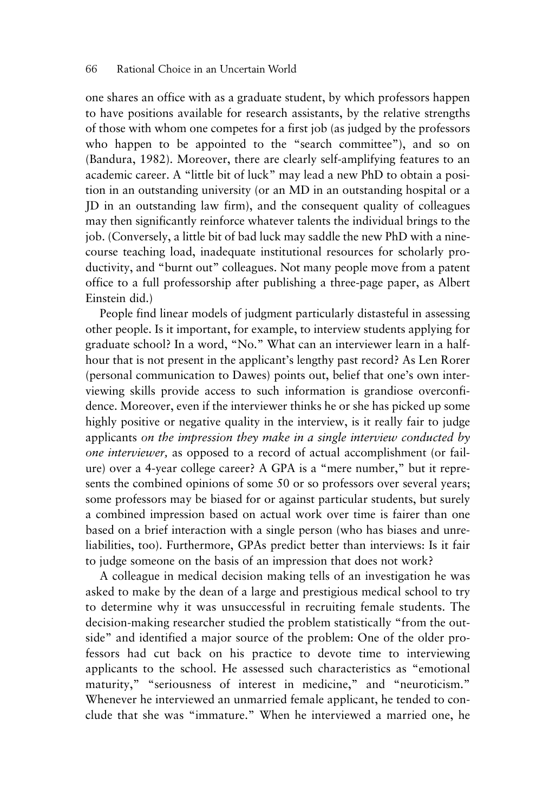one shares an office with as a graduate student, by which professors happen to have positions available for research assistants, by the relative strengths of those with whom one competes for a first job (as judged by the professors who happen to be appointed to the "search committee"), and so on (Bandura, 1982). Moreover, there are clearly self-amplifying features to an academic career. A "little bit of luck" may lead a new PhD to obtain a position in an outstanding university (or an MD in an outstanding hospital or a JD in an outstanding law firm), and the consequent quality of colleagues may then significantly reinforce whatever talents the individual brings to the job. (Conversely, a little bit of bad luck may saddle the new PhD with a ninecourse teaching load, inadequate institutional resources for scholarly productivity, and "burnt out" colleagues. Not many people move from a patent office to a full professorship after publishing a three-page paper, as Albert Einstein did.)

People find linear models of judgment particularly distasteful in assessing other people. Is it important, for example, to interview students applying for graduate school? In a word, "No." What can an interviewer learn in a halfhour that is not present in the applicant's lengthy past record? As Len Rorer (personal communication to Dawes) points out, belief that one's own interviewing skills provide access to such information is grandiose overconfidence. Moreover, even if the interviewer thinks he or she has picked up some highly positive or negative quality in the interview, is it really fair to judge applicants *on the impression they make in a single interview conducted by one interviewer,* as opposed to a record of actual accomplishment (or failure) over a 4-year college career? A GPA is a "mere number," but it represents the combined opinions of some 50 or so professors over several years; some professors may be biased for or against particular students, but surely a combined impression based on actual work over time is fairer than one based on a brief interaction with a single person (who has biases and unreliabilities, too). Furthermore, GPAs predict better than interviews: Is it fair to judge someone on the basis of an impression that does not work?

A colleague in medical decision making tells of an investigation he was asked to make by the dean of a large and prestigious medical school to try to determine why it was unsuccessful in recruiting female students. The decision-making researcher studied the problem statistically "from the outside" and identified a major source of the problem: One of the older professors had cut back on his practice to devote time to interviewing applicants to the school. He assessed such characteristics as "emotional maturity," "seriousness of interest in medicine," and "neuroticism." Whenever he interviewed an unmarried female applicant, he tended to conclude that she was "immature." When he interviewed a married one, he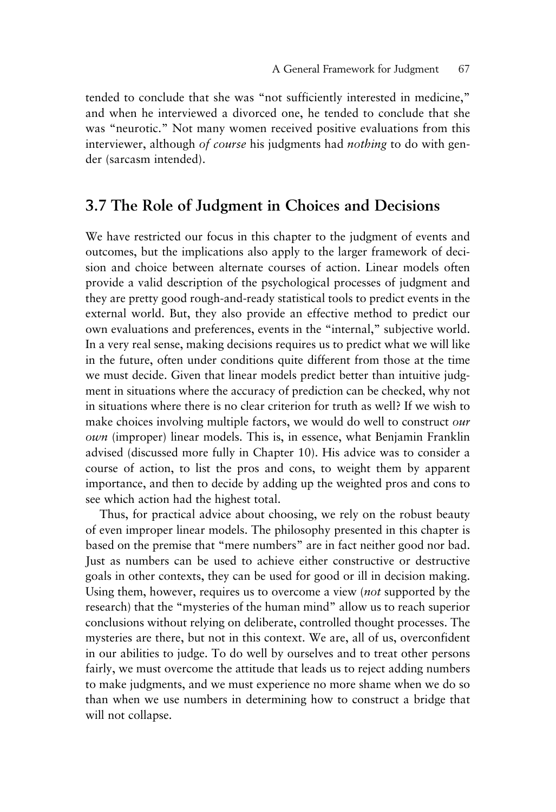tended to conclude that she was "not sufficiently interested in medicine," and when he interviewed a divorced one, he tended to conclude that she was "neurotic." Not many women received positive evaluations from this interviewer, although *of course* his judgments had *nothing* to do with gender (sarcasm intended).

#### **3.7 The Role of Judgment in Choices and Decisions**

We have restricted our focus in this chapter to the judgment of events and outcomes, but the implications also apply to the larger framework of decision and choice between alternate courses of action. Linear models often provide a valid description of the psychological processes of judgment and they are pretty good rough-and-ready statistical tools to predict events in the external world. But, they also provide an effective method to predict our own evaluations and preferences, events in the "internal," subjective world. In a very real sense, making decisions requires us to predict what we will like in the future, often under conditions quite different from those at the time we must decide. Given that linear models predict better than intuitive judgment in situations where the accuracy of prediction can be checked, why not in situations where there is no clear criterion for truth as well? If we wish to make choices involving multiple factors, we would do well to construct *our own* (improper) linear models. This is, in essence, what Benjamin Franklin advised (discussed more fully in Chapter 10). His advice was to consider a course of action, to list the pros and cons, to weight them by apparent importance, and then to decide by adding up the weighted pros and cons to see which action had the highest total.

Thus, for practical advice about choosing, we rely on the robust beauty of even improper linear models. The philosophy presented in this chapter is based on the premise that "mere numbers" are in fact neither good nor bad. Just as numbers can be used to achieve either constructive or destructive goals in other contexts, they can be used for good or ill in decision making. Using them, however, requires us to overcome a view (*not* supported by the research) that the "mysteries of the human mind" allow us to reach superior conclusions without relying on deliberate, controlled thought processes. The mysteries are there, but not in this context. We are, all of us, overconfident in our abilities to judge. To do well by ourselves and to treat other persons fairly, we must overcome the attitude that leads us to reject adding numbers to make judgments, and we must experience no more shame when we do so than when we use numbers in determining how to construct a bridge that will not collapse.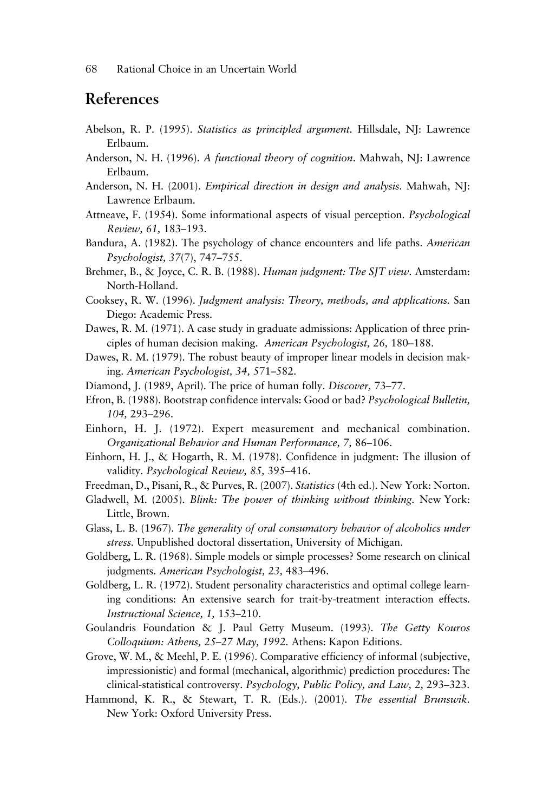#### **References**

- Abelson, R. P. (1995). *Statistics as principled argument.* Hillsdale, NJ: Lawrence Erlbaum.
- Anderson, N. H. (1996). *A functional theory of cognition*. Mahwah, NJ: Lawrence Erlbaum.
- Anderson, N. H. (2001). *Empirical direction in design and analysis.* Mahwah, NJ: Lawrence Erlbaum.
- Attneave, F. (1954). Some informational aspects of visual perception. *Psychological Review, 61,* 183–193.
- Bandura, A. (1982). The psychology of chance encounters and life paths. *American Psychologist, 37*(7), 747–755.
- Brehmer, B., & Joyce, C. R. B. (1988). *Human judgment: The SJT view.* Amsterdam: North-Holland.
- Cooksey, R. W. (1996). *Judgment analysis: Theory, methods, and applications.* San Diego: Academic Press.
- Dawes, R. M. (1971). A case study in graduate admissions: Application of three principles of human decision making. *American Psychologist, 26,* 180–188.
- Dawes, R. M. (1979). The robust beauty of improper linear models in decision making. *American Psychologist, 34,* 571–582.
- Diamond, J. (1989, April). The price of human folly. *Discover,* 73–77.
- Efron, B. (1988). Bootstrap confidence intervals: Good or bad? *Psychological Bulletin, 104,* 293–296.
- Einhorn, H. J. (1972). Expert measurement and mechanical combination. *Organizational Behavior and Human Performance, 7,* 86–106.
- Einhorn, H. J., & Hogarth, R. M. (1978). Confidence in judgment: The illusion of validity. *Psychological Review, 85,* 395–416.
- Freedman, D., Pisani, R., & Purves, R. (2007). *Statistics* (4th ed.). New York: Norton.
- Gladwell, M. (2005). *Blink: The power of thinking without thinking.* New York: Little, Brown.
- Glass, L. B. (1967). *The generality of oral consumatory behavior of alcoholics under stress.* Unpublished doctoral dissertation, University of Michigan.
- Goldberg, L. R. (1968). Simple models or simple processes? Some research on clinical judgments. *American Psychologist, 23,* 483–496.
- Goldberg, L. R. (1972). Student personality characteristics and optimal college learning conditions: An extensive search for trait-by-treatment interaction effects. *Instructional Science, 1,* 153–210.
- Goulandris Foundation & J. Paul Getty Museum. (1993). *The Getty Kouros Colloquium: Athens, 25–27 May, 1992.* Athens: Kapon Editions.
- Grove, W. M., & Meehl, P. E. (1996). Comparative efficiency of informal (subjective, impressionistic) and formal (mechanical, algorithmic) prediction procedures: The clinical-statistical controversy. *Psychology, Public Policy, and Law, 2,* 293–323.
- Hammond, K. R., & Stewart, T. R. (Eds.). (2001). *The essential Brunswik.* New York: Oxford University Press.